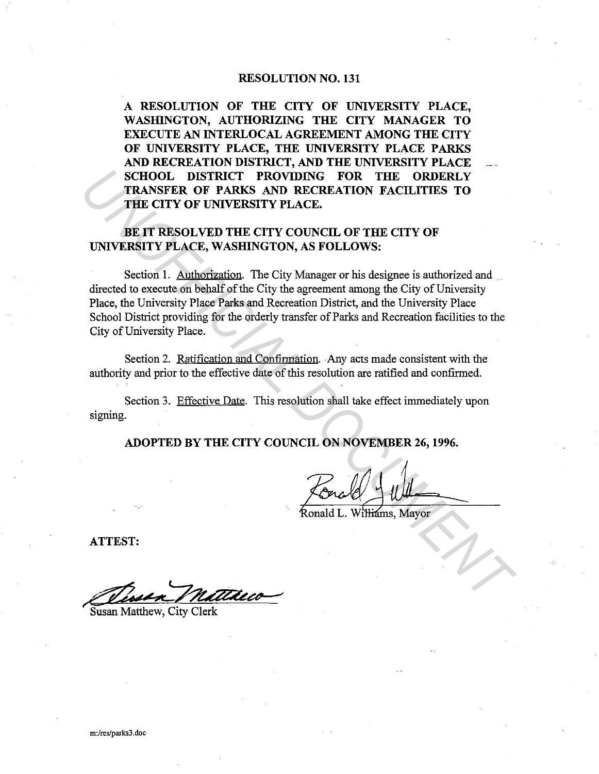#### RESOLUTION NO. 131

A RESOLUTION OF THE CITY OF UNIVERSITY PLACE, WASHINGTON, AUTHORIZING THE CITY MANAGER TO EXECUTE AN INTERLOCAL AGREEMENT AMONG THE CITY OF UNIVERSITY PLACE, THE UNIVERSITY PLACE PARKS AND RECREATION DISTRICT, AND THE UNIVERSITY PLACE SCHOOL DISTRICT PROVIDING FOR THE ORDERLY TRANSFER OF PARKS AND RECREATION FACILITIES TO THE CITY OF UNIVERSITY PLACE.

# BE IT RESOLVED THE CITY COUNCIL OF THE CITY OF UNIVERSITY PLACE, WASIIlNGTON, AS FOLLOWS:

Section 1. Authorization. The City Manager or his designee is authorized and directed to execute on behalf of the City the agreement among the City of University Place, the University Place Parks and Recreation District, and the University Place School District providing for the orderly transfer of Parks and Recreation facilities to the City of University Place. **TRANSFER OF PARKS AND RECERENT TROVIDING** FOR THE ORDERLY THE CITY OF VINTERISTY PLACE.<br>
THE CITY OF UNIVERSITY PLACE.<br>
BE IT RESOLVED THE CITY COUNCIL OF THE CITY OF UNIVERSITY PLACE.<br>
BE IT RESOLVED THE CITY COUNCIL OF

Section 2. Ratification and Confirmation. Any acts made consistent with the authority and prior to the effective date of this resolution are ratified and confirmed.

Section 3. Effective Date. This resolution shall take effect immediately upon signing.

ADOPTED BY THE CITY COUNCIL ON NOVEMBER 26, 1996.

ATTEST:

Susan Matthew, City Clerk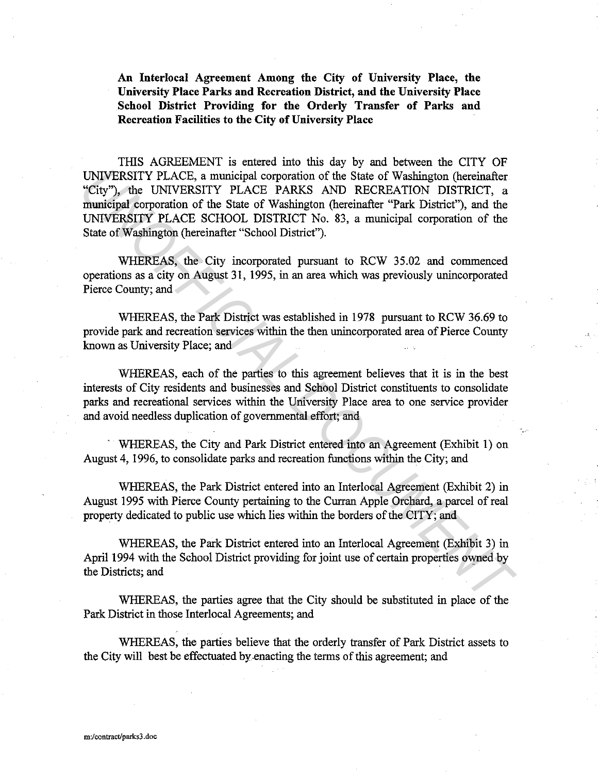**An Interlocal Agreement Among the City of University Place, the University Place Parks and Recreation District, and the University Place School District Providing for the Orderly Transfer of Parks and Recreation Facilities to the City of University Place** 

THIS AGREEMENT is entered into this day by and between the CITY OF UNIVERSITY PLACE, a municipal corporation of the State of Washington (hereinafter "City"), the UNIVERSITY PLACE PARKS AND RECREATION DISTRICT, a municipal corporation of the State of Washington (hereinafter "Park District"), and the UNIVERSITY PLACE SCHOOL DISTRICT No. 83, a municipal corporation of the State of Washington (hereinafter "School District"). UNIVERSITY PLACE, a municipal corporation of the State of Washington (hereinafter "City"), the UNIVERSITY PLACE PARKS AND RECREATION DISTRICT, a municipal corporation of the State of Washington (hereinafter "Park District"

WHEREAS, the City incorporated pursuant to RCW 35.02 and commenced operations as a city on August 31, 1995, in an area which was previously unincorporated Pierce County; and

WHEREAS, the Park District was established in 1978 pursuant to RCW 36.69 to provide park and recreation services within the then unincorporated area of Pierce County known as University Place; and

WHEREAS, each of the parties to this agreement believes that it is in the best interests of City residents and businesses and School District constituents to consolidate parks and recreational services within the University Place area to one service provider and avoid needless duplication of governmental effort; and

WHEREAS, the City and Park District entered into an Agreement (Exhibit 1) on August 4, 1996, to consolidate parks and recreation functions within the City; and

WHEREAS, the Park District entered into an Interlocal Agreement (Exhibit 2) in August 1995 with Pierce County pertaining to the Curran Apple Orchard, a parcel of real property dedicated to public use which lies within the borders of the CITY; and

WHEREAS, the Park District entered into an Interlocal Agreement (Exhibit 3) in April 1994 with the School District providing for joint use of certain properties owned by the Districts; and

WHEREAS, the parties agree that the City should be substituted in place of the Park District in those Interlocal Agreements; and

WHEREAS, the parties believe that the orderly transfer of Park District assets to the City will best be effectuated by .enacting the terms of this agreement; and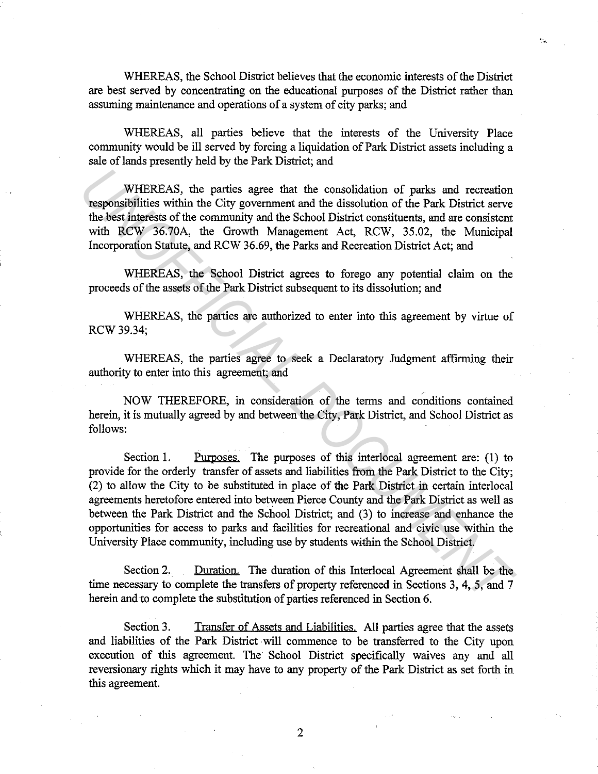WHEREAS, the School District believes that the economic interests of the District are best served by concentrating on the educational purposes of the District rather than assuming maintenance and operations of a system of city parks; and

WHEREAS, all parties believe that the interests of the University Place community would be ill served by forcing a liquidation of Park District assets including a sale of lands presently held by the Park District; and

WHEREAS, the parties agree that the consolidation of parks and recreation responsibilities within the City government and the dissolution of the Park District serve the best interests of the community and the School District constituents, and are consistent with RCW 36.70A, the Growth Management Act, RCW, 35.02, the Municipal Incorporation Statute, and RCW 36.69, the Parks and Recreation District Act; and

WHEREAS, the School District agrees to forego any potential claim on the proceeds of the assets of the Park District subsequent to its dissolution; and

WHEREAS, the parties are authorized to enter into this agreement by virtue of RCW 39.34;

WHEREAS, the parties agree to seek a Declaratory Judgment affirming their authority to enter into this agreement; and

NOW THEREFORE, in consideration of the terms and conditions contained herein, it is mutually agreed by and between the City, Park District, and School District as follows:

Section 1. Purposes. The purposes of this interlocal agreement are: (1) to provide for the orderly transfer of assets and liabilities from the Park District to the City; (2) to allow the City to be substituted in place of the Park District in certain interlocal agreements heretofore entered into between Pierce County and the Park District as well as between the Park District and the School District; and (3) to increase and enhance the opportunities for access to parks and facilities for recreational and civic use within the University Place community, including use by students within the School District. WHEREAS, the parties agree that the consolidation of parks and recreation<br>responsibilities within the City government and the dissolution of the Park District serve<br>the best interests of the community and the School Distri

Section 2. Duration. The duration of this Interlocal Agreement shall be the time necessary to complete the transfers of property referenced in Sections 3, 4, 5, and 7 herein and to complete the substitution of parties referenced in Section 6.

Section 3. Transfer of Assets and Liabilities. All parties agree that the assets and liabilities of the Park District will commence to be transferred to the City upon execution of this agreement. The School District specifically waives any and all reversionary rights which it may have to any property of the Park District as set forth in this agreement.

2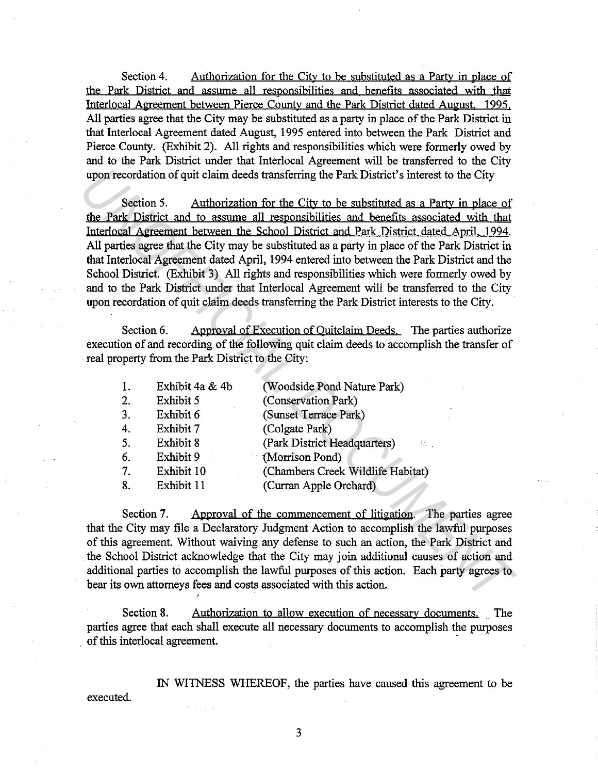Section 4. Authorization for the City to be substituted as a Party in place of the Park District and assume all responsibilities and benefits associated with that Interlocal Agreement between Pierce County and the Park District dated August. 1995. All parties agree that the City may be substituted as a party in place of the Park District in that Interlocal Agreement dated August, 1995 entered into between the Park District and Pierce County. (Exhibit 2). All rights and responsibilities which were formerly owed by and to the Park District under that Interlocal Agreement will be transferred to the City upon recordation of quit claim deeds transferring the Park District's interest to the City

Section 5. Authorization for the City to be substituted as a Party in place of the Park District and to assume all responsibilities and benefits associated with that Interlocal Agreement between the School District and Park District dated April. 1994. All parties agree that the City may be substituted as a party in place of the Park District in that Interlocal Agreement dated April, 1994 entered into between the Park District and the School District. (Exhibit 3) All rights and responsibilities which were formerly owed by and to the Park District under that Interlocal Agreement will be transferred to the City upon recordation of quit claim deeds transferring the Park District interests to the City. upon recordation of quit claim deeds transferring the Park District's interest to the City<br> **Section 5.** Authorization for the City to be substituted as a Party in place of<br>
the Park District and to assume all responsibil

Section 6. Approval of Execution of Quitclaim Deeds. The parties authorize execution of and recording of the following quit claim deeds to accomplish the transfer of real property from the Park District to the City:

| 1. | Exhibit 4a & 4b | (Woodside Pond Nature Park)                              |
|----|-----------------|----------------------------------------------------------|
| 2. | Exhibit 5       | (Conservation Park)                                      |
| 3. | Exhibit 6       | (Sunset Terrace Park)                                    |
| 4. | Exhibit 7       | (Colgate Park)                                           |
| 5. | Exhibit 8       | (Park District Headquarters)<br>$\mathcal{L}_{\rm{max}}$ |
| 6. | Exhibit 9       | (Morrison Pond)                                          |
| 7. | Exhibit 10      | (Chambers Creek Wildlife Habitat)                        |
| 8. | Exhibit 11      | (Curran Apple Orchard)                                   |
|    |                 |                                                          |

Section 7. Approval of the commencement of litigation. The parties agree that the City may file a Declaratory Judgment Action to accomplish the lawful purposes of this agreement. Without waiving any defense to such an action, the Park District and the School District acknowledge that the City may join additional causes of action and additional parties to accomplish the lawful purposes of this action. Each party agrees to bear its own attorneys fees and costs associated with this action.

Section 8. Authorization to allow execution of necessary documents. The parties agree that each shall execute all necessary documents to accomplish the purposes . of this interlocal agreement.

IN WITNESS WHEREOF, the parties have caused this agreement to be executed.

3